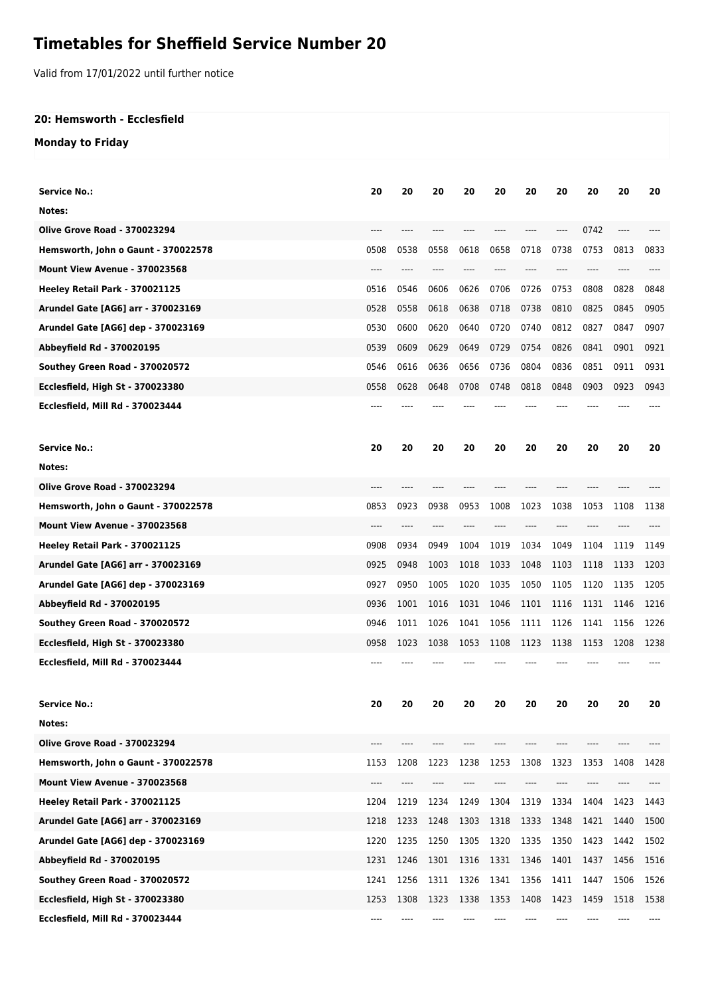## **Timetables for Sheffield Service Number 20**

Valid from 17/01/2022 until further notice

## **20: Hemsworth - Ecclesfield**

## **Monday to Friday**

| <b>Service No.:</b>                 | 20    | 20   | 20    | 20   | 20   | 20   | 20   | 20   | 20   | 20   |
|-------------------------------------|-------|------|-------|------|------|------|------|------|------|------|
| Notes:                              |       |      |       |      |      |      |      |      |      |      |
| <b>Olive Grove Road - 370023294</b> |       |      |       |      |      |      | ---- | 0742 |      |      |
| Hemsworth, John o Gaunt - 370022578 | 0508  | 0538 | 0558  | 0618 | 0658 | 0718 | 0738 | 0753 | 0813 | 0833 |
| Mount View Avenue - 370023568       | ----  | ---- | ----  | ---- | ---- | ---- | ---- | ---- | ---- | ---- |
| Heeley Retail Park - 370021125      | 0516  | 0546 | 0606  | 0626 | 0706 | 0726 | 0753 | 0808 | 0828 | 0848 |
| Arundel Gate [AG6] arr - 370023169  | 0528  | 0558 | 0618  | 0638 | 0718 | 0738 | 0810 | 0825 | 0845 | 0905 |
| Arundel Gate [AG6] dep - 370023169  | 0530  | 0600 | 0620  | 0640 | 0720 | 0740 | 0812 | 0827 | 0847 | 0907 |
| Abbeyfield Rd - 370020195           | 0539  | 0609 | 0629  | 0649 | 0729 | 0754 | 0826 | 0841 | 0901 | 0921 |
| Southey Green Road - 370020572      | 0546  | 0616 | 0636  | 0656 | 0736 | 0804 | 0836 | 0851 | 0911 | 0931 |
| Ecclesfield, High St - 370023380    | 0558  | 0628 | 0648  | 0708 | 0748 | 0818 | 0848 | 0903 | 0923 | 0943 |
| Ecclesfield, Mill Rd - 370023444    |       |      |       |      |      |      |      |      |      |      |
|                                     |       |      |       |      |      |      |      |      |      |      |
| <b>Service No.:</b>                 | 20    | 20   | 20    | 20   | 20   | 20   | 20   | 20   | 20   | 20   |
| Notes:                              |       |      |       |      |      |      |      |      |      |      |
| <b>Olive Grove Road - 370023294</b> | ----  |      |       |      |      |      |      |      |      |      |
| Hemsworth, John o Gaunt - 370022578 | 0853  | 0923 | 0938  | 0953 | 1008 | 1023 | 1038 | 1053 | 1108 | 1138 |
| Mount View Avenue - 370023568       | $---$ | ---- | $---$ | ---- |      | ---- | ---- | ---- |      |      |
| Heeley Retail Park - 370021125      | 0908  | 0934 | 0949  | 1004 | 1019 | 1034 | 1049 | 1104 | 1119 | 1149 |
| Arundel Gate [AG6] arr - 370023169  | 0925  | 0948 | 1003  | 1018 | 1033 | 1048 | 1103 | 1118 | 1133 | 1203 |
| Arundel Gate [AG6] dep - 370023169  | 0927  | 0950 | 1005  | 1020 | 1035 | 1050 | 1105 | 1120 | 1135 | 1205 |
| Abbeyfield Rd - 370020195           | 0936  | 1001 | 1016  | 1031 | 1046 | 1101 | 1116 | 1131 | 1146 | 1216 |
| Southey Green Road - 370020572      | 0946  | 1011 | 1026  | 1041 | 1056 | 1111 | 1126 | 1141 | 1156 | 1226 |
| Ecclesfield, High St - 370023380    | 0958  | 1023 | 1038  | 1053 | 1108 | 1123 | 1138 | 1153 | 1208 | 1238 |
| Ecclesfield, Mill Rd - 370023444    | ----  |      |       |      |      |      |      |      |      |      |
|                                     |       |      |       |      |      |      |      |      |      |      |
| <b>Service No.:</b>                 | 20    | 20   | 20    |      | 20   | 20   | 20   | 20   | 20   | 20   |
| Notes:                              |       |      |       |      |      |      |      |      |      |      |
| <b>Olive Grove Road - 370023294</b> | ----  | ---- | ----  | ---- | ---- | ---- | ---- | ---- | ---- |      |
| Hemsworth, John o Gaunt - 370022578 | 1153  | 1208 | 1223  | 1238 | 1253 | 1308 | 1323 | 1353 | 1408 | 1428 |
| Mount View Avenue - 370023568       |       |      |       |      |      |      |      |      |      |      |
| Heeley Retail Park - 370021125      | 1204  | 1219 | 1234  | 1249 | 1304 | 1319 | 1334 | 1404 | 1423 | 1443 |
| Arundel Gate [AG6] arr - 370023169  | 1218  | 1233 | 1248  | 1303 | 1318 | 1333 | 1348 | 1421 | 1440 | 1500 |
| Arundel Gate [AG6] dep - 370023169  | 1220  | 1235 | 1250  | 1305 | 1320 | 1335 | 1350 | 1423 | 1442 | 1502 |
| Abbeyfield Rd - 370020195           | 1231  | 1246 | 1301  | 1316 | 1331 | 1346 | 1401 | 1437 | 1456 | 1516 |
| Southey Green Road - 370020572      | 1241  | 1256 | 1311  | 1326 | 1341 | 1356 | 1411 | 1447 | 1506 | 1526 |
| Ecclesfield, High St - 370023380    | 1253  | 1308 | 1323  | 1338 | 1353 | 1408 | 1423 | 1459 | 1518 | 1538 |
| Ecclesfield, Mill Rd - 370023444    |       |      |       |      |      |      |      |      |      |      |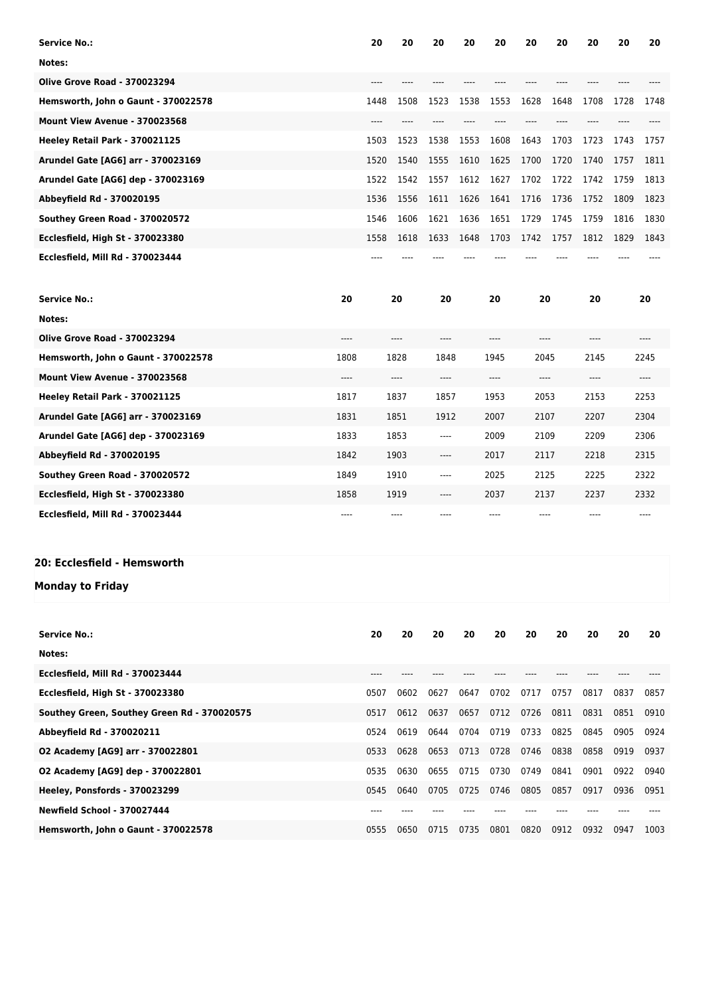| <b>Service No.:</b>                 |      | 20   | 20   | 20   | 20   | 20   | 20   | 20   | 20   | 20   | 20   |
|-------------------------------------|------|------|------|------|------|------|------|------|------|------|------|
| Notes:                              |      |      |      |      |      |      |      |      |      |      |      |
| <b>Olive Grove Road - 370023294</b> |      | ---- |      | ---- |      |      |      | ---- |      | ---- |      |
| Hemsworth, John o Gaunt - 370022578 |      | 1448 | 1508 | 1523 | 1538 | 1553 | 1628 | 1648 | 1708 | 1728 | 1748 |
| Mount View Avenue - 370023568       |      | ---- |      |      |      |      |      | ---- |      |      |      |
| Heeley Retail Park - 370021125      |      | 1503 | 1523 | 1538 | 1553 | 1608 | 1643 | 1703 | 1723 | 1743 | 1757 |
| Arundel Gate [AG6] arr - 370023169  |      | 1520 | 1540 | 1555 | 1610 | 1625 | 1700 | 1720 | 1740 | 1757 | 1811 |
| Arundel Gate [AG6] dep - 370023169  |      | 1522 | 1542 | 1557 | 1612 | 1627 | 1702 | 1722 | 1742 | 1759 | 1813 |
| Abbeyfield Rd - 370020195           |      | 1536 | 1556 | 1611 | 1626 | 1641 | 1716 | 1736 | 1752 | 1809 | 1823 |
| Southey Green Road - 370020572      |      | 1546 | 1606 | 1621 | 1636 | 1651 | 1729 | 1745 | 1759 | 1816 | 1830 |
| Ecclesfield, High St - 370023380    |      | 1558 | 1618 | 1633 | 1648 | 1703 | 1742 | 1757 | 1812 | 1829 | 1843 |
| Ecclesfield, Mill Rd - 370023444    |      |      |      |      |      |      |      |      |      |      |      |
|                                     |      |      |      |      |      |      |      |      |      |      |      |
| <b>Service No.:</b>                 | 20   |      | 20   | 20   |      | 20   | 20   |      | 20   |      | 20   |
| Notes:                              |      |      |      |      |      |      |      |      |      |      |      |
| <b>Olive Grove Road - 370023294</b> | ---- |      | ---- | ---- |      | ---- | ---- |      | ---- |      | ---- |
| Hemsworth, John o Gaunt - 370022578 | 1808 |      | 1828 | 1848 |      | 1945 | 2045 |      | 2145 |      | 2245 |
| Mount View Avenue - 370023568       | ---- |      | ---- | ---- |      | ---- | ---- |      | ---- |      | ---- |
| Heeley Retail Park - 370021125      | 1817 |      | 1837 | 1857 |      | 1953 | 2053 |      | 2153 |      | 2253 |
| Arundel Gate [AG6] arr - 370023169  | 1831 |      | 1851 | 1912 |      | 2007 | 2107 |      | 2207 |      | 2304 |
| Arundel Gate [AG6] dep - 370023169  | 1833 |      | 1853 | ---- |      | 2009 | 2109 |      | 2209 |      | 2306 |
| Abbeyfield Rd - 370020195           | 1842 |      | 1903 | ---- |      | 2017 | 2117 |      | 2218 |      | 2315 |
| Southey Green Road - 370020572      | 1849 |      | 1910 | ---- |      | 2025 | 2125 |      | 2225 |      | 2322 |
| Ecclesfield, High St - 370023380    | 1858 |      | 1919 | ---- |      | 2037 | 2137 |      | 2237 |      | 2332 |

## **20: Ecclesfield - Hemsworth**

**Monday to Friday**

| <b>Service No.:</b>                         | 20   | 20   | 20   | 20   | 20   | 20   | 20   | 20   | 20   | 20   |
|---------------------------------------------|------|------|------|------|------|------|------|------|------|------|
| Notes:                                      |      |      |      |      |      |      |      |      |      |      |
| Ecclesfield, Mill Rd - 370023444            | ---- |      |      |      |      |      |      |      |      |      |
| <b>Ecclesfield, High St - 370023380</b>     | 0507 | 0602 | 0627 | 0647 | 0702 | 0717 | 0757 | 0817 | 0837 | 0857 |
| Southey Green, Southey Green Rd - 370020575 | 0517 | 0612 | 0637 | 0657 | 0712 | 0726 | 0811 | 0831 | 0851 | 0910 |
| Abbeyfield Rd - 370020211                   | 0524 | 0619 | 0644 | 0704 | 0719 | 0733 | 0825 | 0845 | 0905 | 0924 |
| 02 Academy [AG9] arr - 370022801            | 0533 | 0628 | 0653 | 0713 | 0728 | 0746 | 0838 | 0858 | 0919 | 0937 |
| 02 Academy [AG9] dep - 370022801            | 0535 | 0630 | 0655 | 0715 | 0730 | 0749 | 0841 | 0901 | 0922 | 0940 |
| Heeley, Ponsfords - 370023299               | 0545 | 0640 | 0705 | 0725 | 0746 | 0805 | 0857 | 0917 | 0936 | 0951 |
| <b>Newfield School - 370027444</b>          |      |      |      |      |      |      |      |      |      |      |
| Hemsworth, John o Gaunt - 370022578         | 0555 | 0650 | 0715 | 0735 | 0801 | 0820 | 0912 | 0932 | 0947 | 1003 |